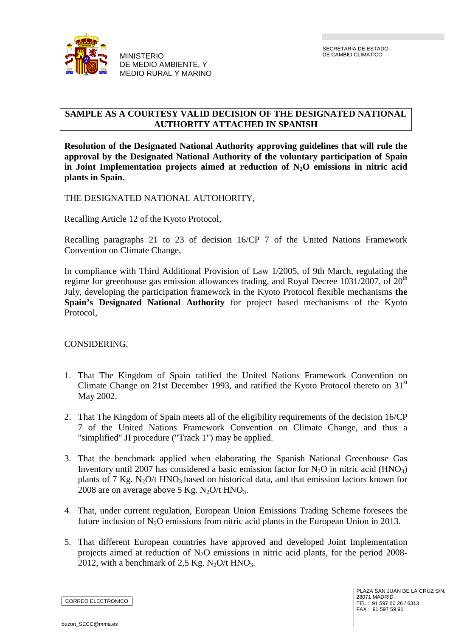

**Y** 

## **SAMPLE AS A COURTESY VALID DECISION OF THE DESIGNATED NATIONAL AUTHORITY ATTACHED IN SPANISH**

**Resolution of the Designated National Authority approving guidelines that will rule the approval by the Designated National Authority of the voluntary participation of Spain in Joint Implementation projects aimed at reduction of N2O emissions in nitric acid plants in Spain.** 

THE DESIGNATED NATIONAL AUTOHORITY,

Recalling Article 12 of the Kyoto Protocol,

Recalling paragraphs 21 to 23 of decision 16/CP 7 of the United Nations Framework Convention on Climate Change,

In compliance with Third Additional Provision of Law 1/2005, of 9th March, regulating the regime for greenhouse gas emission allowances trading, and Royal Decree 1031/2007, of  $20<sup>th</sup>$ July, developing the participation framework in the Kyoto Protocol flexible mechanisms **the Spain's Designated National Authority** for project based mechanisms of the Kyoto Protocol,

## CONSIDERING,

- 1. That The Kingdom of Spain ratified the United Nations Framework Convention on Climate Change on 21st December 1993, and ratified the Kyoto Protocol thereto on 31<sup>st</sup> May 2002.
- 2. That The Kingdom of Spain meets all of the eligibility requirements of the decision 16/CP 7 of the United Nations Framework Convention on Climate Change, and thus a "simplified" JI procedure ("Track 1") may be applied.
- 3. That the benchmark applied when elaborating the Spanish National Greenhouse Gas Inventory until 2007 has considered a basic emission factor for  $N_2O$  in nitric acid (HNO<sub>3</sub>) plants of 7 Kg. N<sub>2</sub>O/t HNO<sub>3</sub> based on historical data, and that emission factors known for 2008 are on average above 5 Kg.  $N_2O/t$  HNO<sub>3</sub>.
- 4. That, under current regulation, European Union Emissions Trading Scheme foresees the future inclusion of  $N_2O$  emissions from nitric acid plants in the European Union in 2013.
- 5. That different European countries have approved and developed Joint Implementation projects aimed at reduction of  $N_2O$  emissions in nitric acid plants, for the period 2008-2012, with a benchmark of 2,5 Kg.  $N_2O/t$  HNO<sub>3</sub>.

CORREO ELECTRONICO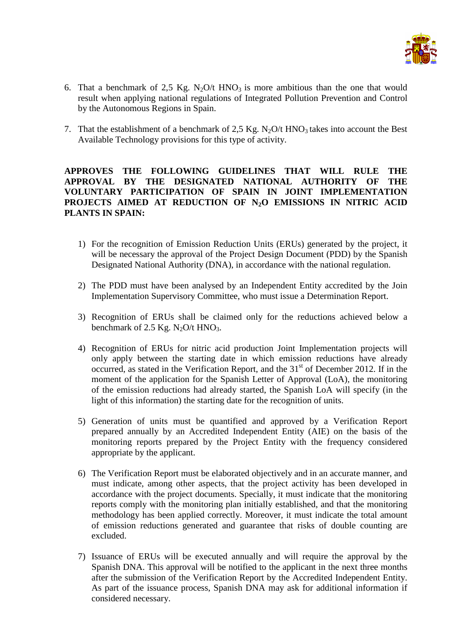

- 6. That a benchmark of 2.5 Kg. N<sub>2</sub>O/t HNO<sub>3</sub> is more ambitious than the one that would result when applying national regulations of Integrated Pollution Prevention and Control by the Autonomous Regions in Spain.
- 7. That the establishment of a benchmark of 2,5 Kg. N<sub>2</sub>O/t HNO<sub>3</sub> takes into account the Best Available Technology provisions for this type of activity.

## **APPROVES THE FOLLOWING GUIDELINES THAT WILL RULE THE APPROVAL BY THE DESIGNATED NATIONAL AUTHORITY OF THE VOLUNTARY PARTICIPATION OF SPAIN IN JOINT IMPLEMENTATION PROJECTS AIMED AT REDUCTION OF N2O EMISSIONS IN NITRIC ACID PLANTS IN SPAIN:**

- 1) For the recognition of Emission Reduction Units (ERUs) generated by the project, it will be necessary the approval of the Project Design Document (PDD) by the Spanish Designated National Authority (DNA), in accordance with the national regulation.
- 2) The PDD must have been analysed by an Independent Entity accredited by the Join Implementation Supervisory Committee, who must issue a Determination Report.
- 3) Recognition of ERUs shall be claimed only for the reductions achieved below a benchmark of 2.5 Kg. N<sub>2</sub>O/t HNO<sub>3</sub>.
- 4) Recognition of ERUs for nitric acid production Joint Implementation projects will only apply between the starting date in which emission reductions have already occurred, as stated in the Verification Report, and the  $31<sup>st</sup>$  of December 2012. If in the moment of the application for the Spanish Letter of Approval (LoA), the monitoring of the emission reductions had already started, the Spanish LoA will specify (in the light of this information) the starting date for the recognition of units.
- 5) Generation of units must be quantified and approved by a Verification Report prepared annually by an Accredited Independent Entity (AIE) on the basis of the monitoring reports prepared by the Project Entity with the frequency considered appropriate by the applicant.
- 6) The Verification Report must be elaborated objectively and in an accurate manner, and must indicate, among other aspects, that the project activity has been developed in accordance with the project documents. Specially, it must indicate that the monitoring reports comply with the monitoring plan initially established, and that the monitoring methodology has been applied correctly. Moreover, it must indicate the total amount of emission reductions generated and guarantee that risks of double counting are excluded.
- 7) Issuance of ERUs will be executed annually and will require the approval by the Spanish DNA. This approval will be notified to the applicant in the next three months after the submission of the Verification Report by the Accredited Independent Entity. As part of the issuance process, Spanish DNA may ask for additional information if considered necessary.